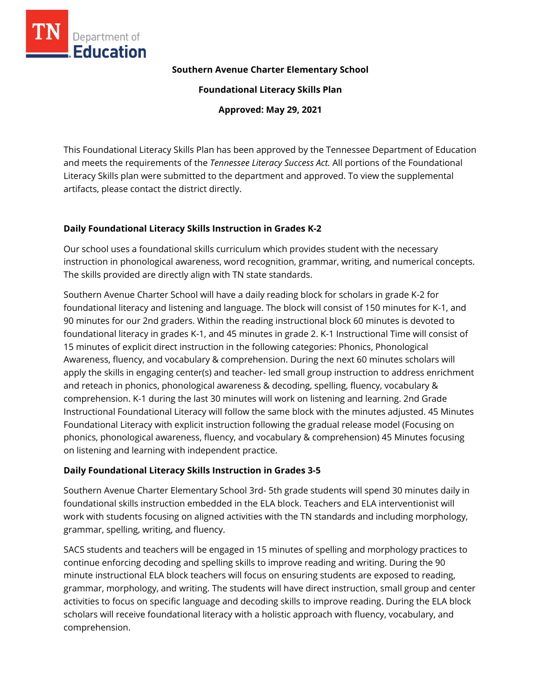

## **Southern Avenue Charter Elementary School**

**Foundational Literacy Skills Plan**

**Approved: May 29, 2021**

This Foundational Literacy Skills Plan has been approved by the Tennessee Department of Education and meets the requirements of the *Tennessee Literacy Success Act.* All portions of the Foundational Literacy Skills plan were submitted to the department and approved. To view the supplemental artifacts, please contact the district directly.

# **Daily Foundational Literacy Skills Instruction in Grades K-2**

Our school uses a foundational skills curriculum which provides student with the necessary instruction in phonological awareness, word recognition, grammar, writing, and numerical concepts. The skills provided are directly align with TN state standards.

Southern Avenue Charter School will have a daily reading block for scholars in grade K-2 for foundational literacy and listening and language. The block will consist of 150 minutes for K-1, and 90 minutes for our 2nd graders. Within the reading instructional block 60 minutes is devoted to foundational literacy in grades K-1, and 45 minutes in grade 2. K-1 Instructional Time will consist of 15 minutes of explicit direct instruction in the following categories: Phonics, Phonological Awareness, fluency, and vocabulary & comprehension. During the next 60 minutes scholars will apply the skills in engaging center(s) and teacher- led small group instruction to address enrichment and reteach in phonics, phonological awareness & decoding, spelling, fluency, vocabulary & comprehension. K-1 during the last 30 minutes will work on listening and learning. 2nd Grade Instructional Foundational Literacy will follow the same block with the minutes adjusted. 45 Minutes Foundational Literacy with explicit instruction following the gradual release model (Focusing on phonics, phonological awareness, fluency, and vocabulary & comprehension) 45 Minutes focusing on listening and learning with independent practice.

# **Daily Foundational Literacy Skills Instruction in Grades 3-5**

Southern Avenue Charter Elementary School 3rd- 5th grade students will spend 30 minutes daily in foundational skills instruction embedded in the ELA block. Teachers and ELA interventionist will work with students focusing on aligned activities with the TN standards and including morphology, grammar, spelling, writing, and fluency.

SACS students and teachers will be engaged in 15 minutes of spelling and morphology practices to continue enforcing decoding and spelling skills to improve reading and writing. During the 90 minute instructional ELA block teachers will focus on ensuring students are exposed to reading, grammar, morphology, and writing. The students will have direct instruction, small group and center activities to focus on specific language and decoding skills to improve reading. During the ELA block scholars will receive foundational literacy with a holistic approach with fluency, vocabulary, and comprehension.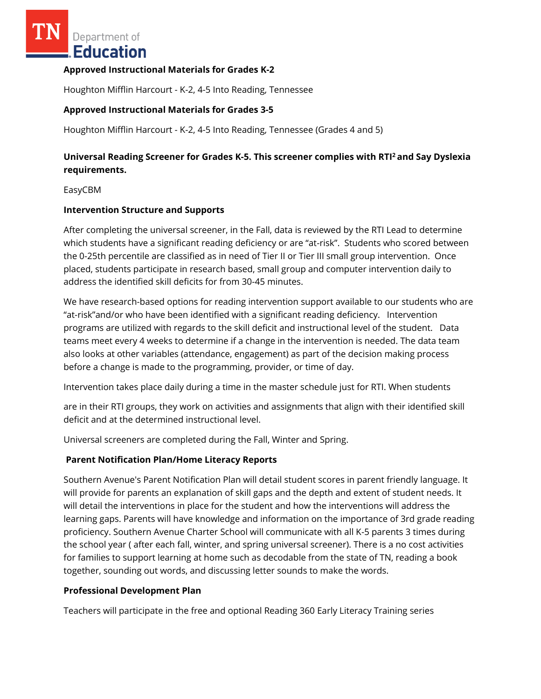Department of Education

## **Approved Instructional Materials for Grades K-2**

Houghton Mifflin Harcourt - K-2, 4-5 Into Reading, Tennessee

## **Approved Instructional Materials for Grades 3-5**

Houghton Mifflin Harcourt - K-2, 4-5 Into Reading, Tennessee (Grades 4 and 5)

# **Universal Reading Screener for Grades K-5. This screener complies with RTI<sup>2</sup>and Say Dyslexia requirements.**

#### EasyCBM

### **Intervention Structure and Supports**

After completing the universal screener, in the Fall, data is reviewed by the RTI Lead to determine which students have a significant reading deficiency or are "at-risk". Students who scored between the 0-25th percentile are classified as in need of Tier II or Tier III small group intervention. Once placed, students participate in research based, small group and computer intervention daily to address the identified skill deficits for from 30-45 minutes.

We have research-based options for reading intervention support available to our students who are "at-risk"and/or who have been identified with a significant reading deficiency. Intervention programs are utilized with regards to the skill deficit and instructional level of the student. Data teams meet every 4 weeks to determine if a change in the intervention is needed. The data team also looks at other variables (attendance, engagement) as part of the decision making process before a change is made to the programming, provider, or time of day.

Intervention takes place daily during a time in the master schedule just for RTI. When students

are in their RTI groups, they work on activities and assignments that align with their identified skill deficit and at the determined instructional level.

Universal screeners are completed during the Fall, Winter and Spring.

## **Parent Notification Plan/Home Literacy Reports**

Southern Avenue's Parent Notification Plan will detail student scores in parent friendly language. It will provide for parents an explanation of skill gaps and the depth and extent of student needs. It will detail the interventions in place for the student and how the interventions will address the learning gaps. Parents will have knowledge and information on the importance of 3rd grade reading proficiency. Southern Avenue Charter School will communicate with all K-5 parents 3 times during the school year ( after each fall, winter, and spring universal screener). There is a no cost activities for families to support learning at home such as decodable from the state of TN, reading a book together, sounding out words, and discussing letter sounds to make the words.

## **Professional Development Plan**

Teachers will participate in the free and optional Reading 360 Early Literacy Training series